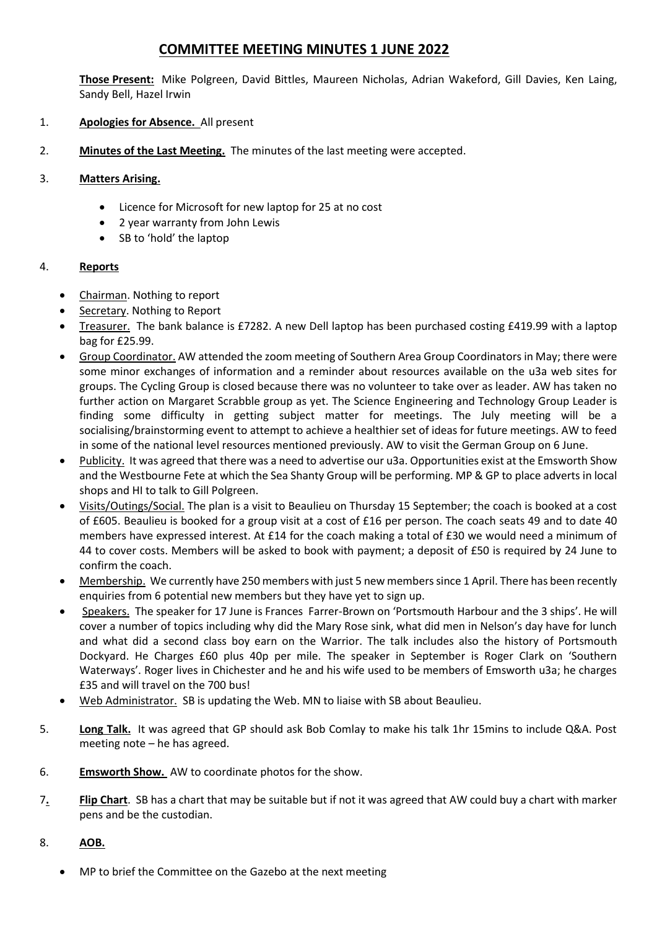## **COMMITTEE MEETING MINUTES 1 JUNE 2022**

**Those Present:** Mike Polgreen, David Bittles, Maureen Nicholas, Adrian Wakeford, Gill Davies, Ken Laing, Sandy Bell, Hazel Irwin

- 1. **Apologies for Absence.** All present
- 2. **Minutes of the Last Meeting.** The minutes of the last meeting were accepted.

## 3. **Matters Arising.**

- Licence for Microsoft for new laptop for 25 at no cost
- 2 year warranty from John Lewis
- SB to 'hold' the laptop

## 4. **Reports**

- Chairman. Nothing to report
- Secretary. Nothing to Report
- Treasurer. The bank balance is £7282. A new Dell laptop has been purchased costing £419.99 with a laptop bag for £25.99.
- Group Coordinator. AW attended the zoom meeting of Southern Area Group Coordinators in May; there were some minor exchanges of information and a reminder about resources available on the u3a web sites for groups. The Cycling Group is closed because there was no volunteer to take over as leader. AW has taken no further action on Margaret Scrabble group as yet. The Science Engineering and Technology Group Leader is finding some difficulty in getting subject matter for meetings. The July meeting will be a socialising/brainstorming event to attempt to achieve a healthier set of ideas for future meetings. AW to feed in some of the national level resources mentioned previously. AW to visit the German Group on 6 June.
- Publicity. It was agreed that there was a need to advertise our u3a. Opportunities exist at the Emsworth Show and the Westbourne Fete at which the Sea Shanty Group will be performing. MP & GP to place adverts in local shops and HI to talk to Gill Polgreen.
- Visits/Outings/Social. The plan is a visit to Beaulieu on Thursday 15 September; the coach is booked at a cost of £605. Beaulieu is booked for a group visit at a cost of £16 per person. The coach seats 49 and to date 40 members have expressed interest. At £14 for the coach making a total of £30 we would need a minimum of 44 to cover costs. Members will be asked to book with payment; a deposit of £50 is required by 24 June to confirm the coach.
- Membership. We currently have 250 members with just 5 new members since 1 April. There has been recently enquiries from 6 potential new members but they have yet to sign up.
- Speakers. The speaker for 17 June is Frances Farrer-Brown on 'Portsmouth Harbour and the 3 ships'. He will cover a number of topics including why did the Mary Rose sink, what did men in Nelson's day have for lunch and what did a second class boy earn on the Warrior. The talk includes also the history of Portsmouth Dockyard. He Charges £60 plus 40p per mile. The speaker in September is Roger Clark on 'Southern Waterways'. Roger lives in Chichester and he and his wife used to be members of Emsworth u3a; he charges £35 and will travel on the 700 bus!
- Web Administrator. SB is updating the Web. MN to liaise with SB about Beaulieu.
- 5. **Long Talk.** It was agreed that GP should ask Bob Comlay to make his talk 1hr 15mins to include Q&A. Post meeting note – he has agreed.
- 6. **Emsworth Show.** AW to coordinate photos for the show.
- 7**. Flip Chart**. SB has a chart that may be suitable but if not it was agreed that AW could buy a chart with marker pens and be the custodian.

## 8. **AOB.**

MP to brief the Committee on the Gazebo at the next meeting